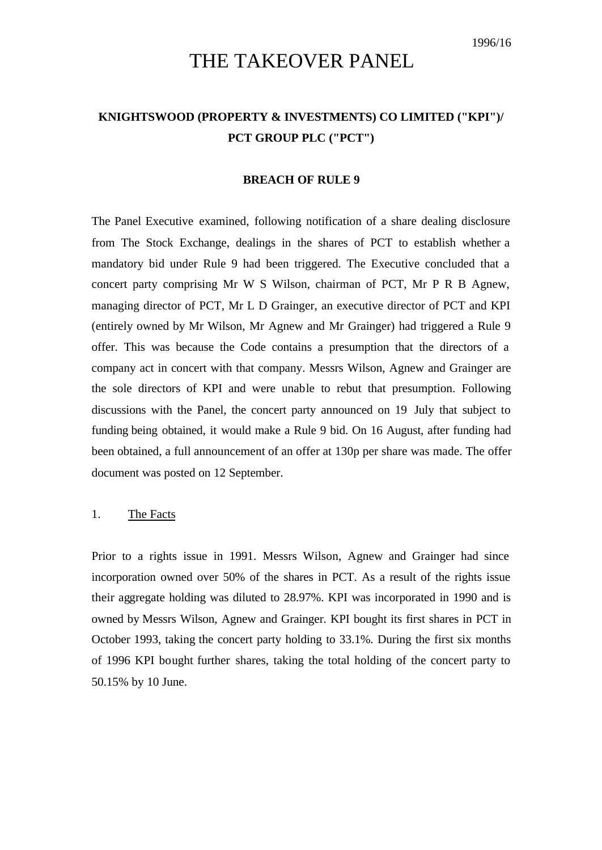# THE TAKEOVER PANEL

# **KNIGHTSWOOD (PROPERTY & INVESTMENTS) CO LIMITED ("KPI")/ PCT GROUP PLC ("PCT")**

#### **BREACH OF RULE 9**

The Panel Executive examined, following notification of a share dealing disclosure from The Stock Exchange, dealings in the shares of PCT to establish whether a mandatory bid under Rule 9 had been triggered. The Executive concluded that a concert party comprising Mr W S Wilson, chairman of PCT, Mr P R B Agnew, managing director of PCT, Mr L D Grainger, an executive director of PCT and KPI (entirely owned by Mr Wilson, Mr Agnew and Mr Grainger) had triggered a Rule 9 offer. This was because the Code contains a presumption that the directors of a company act in concert with that company. Messrs Wilson, Agnew and Grainger are the sole directors of KPI and were unable to rebut that presumption. Following discussions with the Panel, the concert party announced on 19 July that subject to funding being obtained, it would make a Rule 9 bid. On 16 August, after funding had been obtained, a full announcement of an offer at 130p per share was made. The offer document was posted on 12 September.

### 1. The Facts

Prior to a rights issue in 1991. Messrs Wilson, Agnew and Grainger had since incorporation owned over 50% of the shares in PCT. As a result of the rights issue their aggregate holding was diluted to 28.97%. KPI was incorporated in 1990 and is owned by Messrs Wilson, Agnew and Grainger. KPI bought its first shares in PCT in October 1993, taking the concert party holding to 33.1%. During the first six months of 1996 KPI bought further shares, taking the total holding of the concert party to 50.15% by 10 June.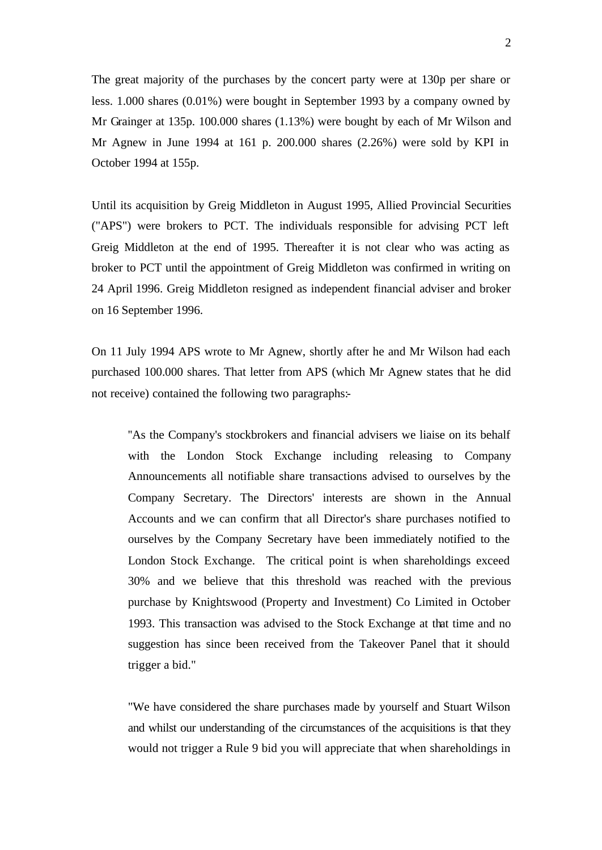The great majority of the purchases by the concert party were at 130p per share or less. 1.000 shares (0.01%) were bought in September 1993 by a company owned by Mr Grainger at 135p. 100.000 shares (1.13%) were bought by each of Mr Wilson and Mr Agnew in June 1994 at 161 p. 200.000 shares (2.26%) were sold by KPI in October 1994 at 155p.

Until its acquisition by Greig Middleton in August 1995, Allied Provincial Securities ("APS") were brokers to PCT. The individuals responsible for advising PCT left Greig Middleton at the end of 1995. Thereafter it is not clear who was acting as broker to PCT until the appointment of Greig Middleton was confirmed in writing on 24 April 1996. Greig Middleton resigned as independent financial adviser and broker on 16 September 1996.

On 11 July 1994 APS wrote to Mr Agnew, shortly after he and Mr Wilson had each purchased 100.000 shares. That letter from APS (which Mr Agnew states that he did not receive) contained the following two paragraphs:-

''As the Company's stockbrokers and financial advisers we liaise on its behalf with the London Stock Exchange including releasing to Company Announcements all notifiable share transactions advised to ourselves by the Company Secretary. The Directors' interests are shown in the Annual Accounts and we can confirm that all Director's share purchases notified to ourselves by the Company Secretary have been immediately notified to the London Stock Exchange. The critical point is when shareholdings exceed 30% and we believe that this threshold was reached with the previous purchase by Knightswood (Property and Investment) Co Limited in October 1993. This transaction was advised to the Stock Exchange at that time and no suggestion has since been received from the Takeover Panel that it should trigger a bid."

"We have considered the share purchases made by yourself and Stuart Wilson and whilst our understanding of the circumstances of the acquisitions is that they would not trigger a Rule 9 bid you will appreciate that when shareholdings in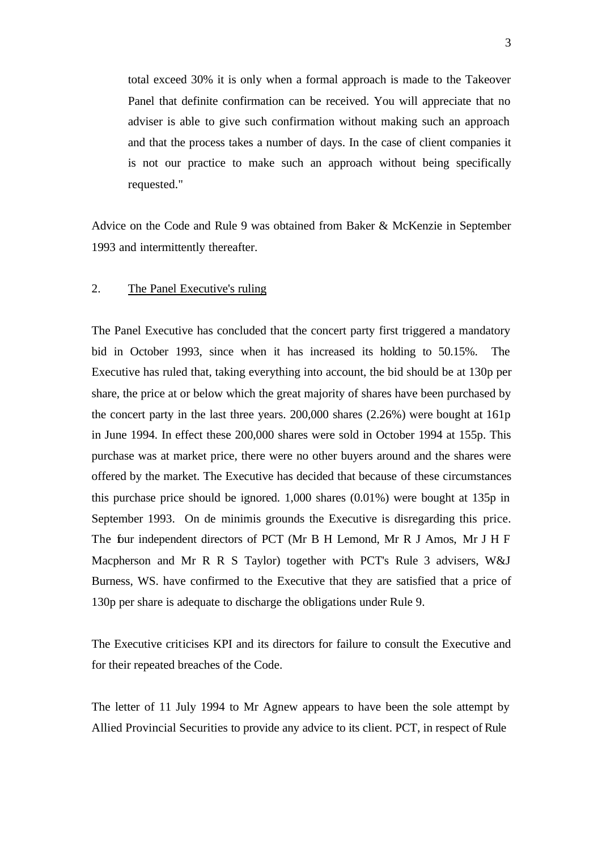total exceed 30% it is only when a formal approach is made to the Takeover Panel that definite confirmation can be received. You will appreciate that no adviser is able to give such confirmation without making such an approach and that the process takes a number of days. In the case of client companies it is not our practice to make such an approach without being specifically requested."

Advice on the Code and Rule 9 was obtained from Baker & McKenzie in September 1993 and intermittently thereafter.

## 2. The Panel Executive's ruling

The Panel Executive has concluded that the concert party first triggered a mandatory bid in October 1993, since when it has increased its holding to 50.15%. The Executive has ruled that, taking everything into account, the bid should be at 130p per share, the price at or below which the great majority of shares have been purchased by the concert party in the last three years. 200,000 shares (2.26%) were bought at 161p in June 1994. In effect these 200,000 shares were sold in October 1994 at 155p. This purchase was at market price, there were no other buyers around and the shares were offered by the market. The Executive has decided that because of these circumstances this purchase price should be ignored. 1,000 shares (0.01%) were bought at 135p in September 1993. On de minimis grounds the Executive is disregarding this price. The four independent directors of PCT (Mr B H Lemond, Mr R J Amos, Mr J H F Macpherson and Mr R R S Taylor) together with PCT's Rule 3 advisers, W&J Burness, WS. have confirmed to the Executive that they are satisfied that a price of 130p per share is adequate to discharge the obligations under Rule 9.

The Executive criticises KPI and its directors for failure to consult the Executive and for their repeated breaches of the Code.

The letter of 11 July 1994 to Mr Agnew appears to have been the sole attempt by Allied Provincial Securities to provide any advice to its client. PCT, in respect of Rule